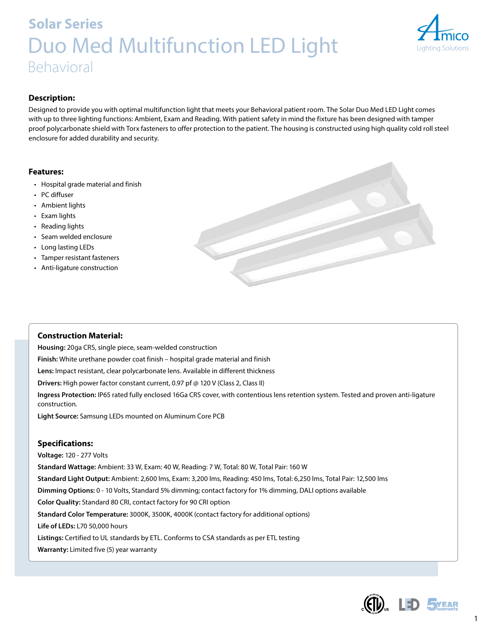# **Solar Series** Duo Med Multifunction LED Light Behavioral



# **Description:**

Designed to provide you with optimal multifunction light that meets your Behavioral patient room. The Solar Duo Med LED Light comes with up to three lighting functions: Ambient, Exam and Reading. With patient safety in mind the fixture has been designed with tamper proof polycarbonate shield with Torx fasteners to offer protection to the patient. The housing is constructed using high quality cold roll steel enclosure for added durability and security.

### **Features:**

- Hospital grade material and finish
- PC diffuser
- Ambient lights
- Exam lights
- Reading lights
- Seam welded enclosure
- Long lasting LEDs
- Tamper resistant fasteners
- Anti-ligature construction



## **Construction Material:**

**Housing:** 20ga CRS, single piece, seam-welded construction **Finish:** White urethane powder coat finish – hospital grade material and finish **Lens:** Impact resistant, clear polycarbonate lens. Available in different thickness **Drivers:** High power factor constant current, 0.97 pf @ 120 V (Class 2, Class II) **Ingress Protection:** IP65 rated fully enclosed 16Ga CRS cover, with contentious lens retention system. Tested and proven anti-ligature construction. **Light Source:** Samsung LEDs mounted on Aluminum Core PCB

## **Specifications:**

**Voltage:** 120 - 277 Volts **Standard Wattage:** Ambient: 33 W, Exam: 40 W, Reading: 7 W, Total: 80 W, Total Pair: 160 W **Standard Light Output:** Ambient: 2,600 lms, Exam: 3,200 lms, Reading: 450 lms, Total: 6,250 lms, Total Pair: 12,500 lms **Dimming Options:** 0 - 10 Volts, Standard 5% dimming; contact factory for 1% dimming, DALI options available **Color Quality:** Standard 80 CRI, contact factory for 90 CRI option **Standard Color Temperature:** 3000K, 3500K, 4000K (contact factory for additional options) **Life of LEDs:** L70 50,000 hours **Listings:** Certified to UL standards by ETL. Conforms to CSA standards as per ETL testing **Warranty:** Limited five (5) year warranty



1